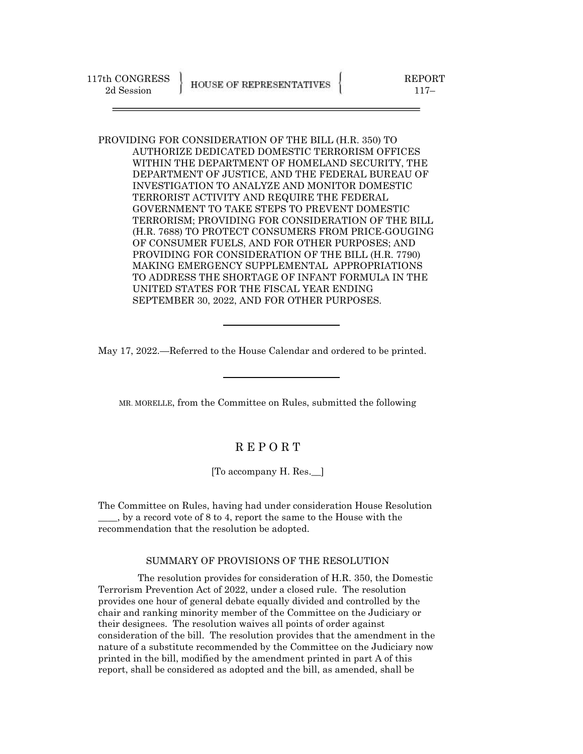PROVIDING FOR CONSIDERATION OF THE BILL (H.R. 350) TO AUTHORIZE DEDICATED DOMESTIC TERRORISM OFFICES WITHIN THE DEPARTMENT OF HOMELAND SECURITY, THE DEPARTMENT OF JUSTICE, AND THE FEDERAL BUREAU OF INVESTIGATION TO ANALYZE AND MONITOR DOMESTIC TERRORIST ACTIVITY AND REQUIRE THE FEDERAL GOVERNMENT TO TAKE STEPS TO PREVENT DOMESTIC TERRORISM; PROVIDING FOR CONSIDERATION OF THE BILL (H.R. 7688) TO PROTECT CONSUMERS FROM PRICE-GOUGING OF CONSUMER FUELS, AND FOR OTHER PURPOSES; AND PROVIDING FOR CONSIDERATION OF THE BILL (H.R. 7790) MAKING EMERGENCY SUPPLEMENTAL APPROPRIATIONS TO ADDRESS THE SHORTAGE OF INFANT FORMULA IN THE UNITED STATES FOR THE FISCAL YEAR ENDING SEPTEMBER 30, 2022, AND FOR OTHER PURPOSES.

May 17, 2022.—Referred to the House Calendar and ordered to be printed.

MR. MORELLE, from the Committee on Rules, submitted the following

# R E P O R T

[To accompany H. Res.\_\_]

The Committee on Rules, having had under consideration House Resolution \_\_\_\_, by a record vote of 8 to 4, report the same to the House with the recommendation that the resolution be adopted.

### SUMMARY OF PROVISIONS OF THE RESOLUTION

 The resolution provides for consideration of H.R. 350, the Domestic Terrorism Prevention Act of 2022, under a closed rule. The resolution provides one hour of general debate equally divided and controlled by the chair and ranking minority member of the Committee on the Judiciary or their designees. The resolution waives all points of order against consideration of the bill. The resolution provides that the amendment in the nature of a substitute recommended by the Committee on the Judiciary now printed in the bill, modified by the amendment printed in part A of this report, shall be considered as adopted and the bill, as amended, shall be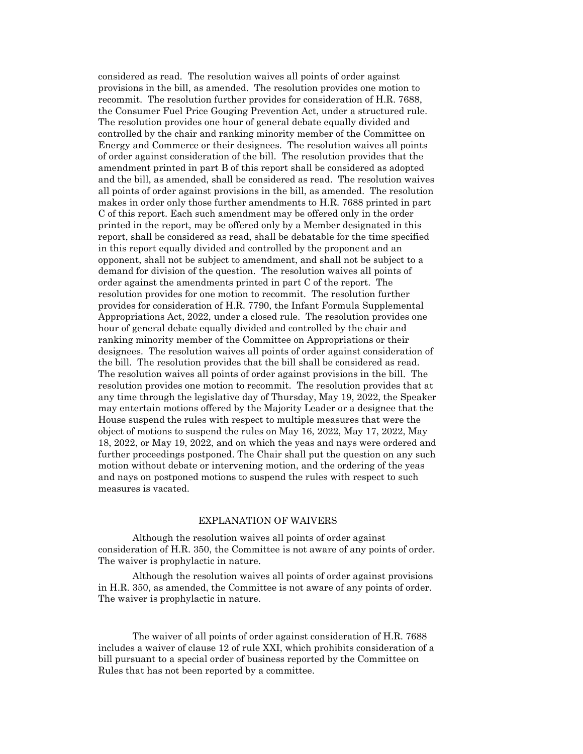considered as read. The resolution waives all points of order against provisions in the bill, as amended. The resolution provides one motion to recommit. The resolution further provides for consideration of H.R. 7688, the Consumer Fuel Price Gouging Prevention Act, under a structured rule. The resolution provides one hour of general debate equally divided and controlled by the chair and ranking minority member of the Committee on Energy and Commerce or their designees. The resolution waives all points of order against consideration of the bill. The resolution provides that the amendment printed in part B of this report shall be considered as adopted and the bill, as amended, shall be considered as read. The resolution waives all points of order against provisions in the bill, as amended. The resolution makes in order only those further amendments to H.R. 7688 printed in part C of this report. Each such amendment may be offered only in the order printed in the report, may be offered only by a Member designated in this report, shall be considered as read, shall be debatable for the time specified in this report equally divided and controlled by the proponent and an opponent, shall not be subject to amendment, and shall not be subject to a demand for division of the question. The resolution waives all points of order against the amendments printed in part C of the report. The resolution provides for one motion to recommit. The resolution further provides for consideration of H.R. 7790, the Infant Formula Supplemental Appropriations Act, 2022, under a closed rule. The resolution provides one hour of general debate equally divided and controlled by the chair and ranking minority member of the Committee on Appropriations or their designees. The resolution waives all points of order against consideration of the bill. The resolution provides that the bill shall be considered as read. The resolution waives all points of order against provisions in the bill. The resolution provides one motion to recommit. The resolution provides that at any time through the legislative day of Thursday, May 19, 2022, the Speaker may entertain motions offered by the Majority Leader or a designee that the House suspend the rules with respect to multiple measures that were the object of motions to suspend the rules on May 16, 2022, May 17, 2022, May 18, 2022, or May 19, 2022, and on which the yeas and nays were ordered and further proceedings postponed. The Chair shall put the question on any such motion without debate or intervening motion, and the ordering of the yeas and nays on postponed motions to suspend the rules with respect to such measures is vacated.

### EXPLANATION OF WAIVERS

Although the resolution waives all points of order against consideration of H.R. 350, the Committee is not aware of any points of order. The waiver is prophylactic in nature.

Although the resolution waives all points of order against provisions in H.R. 350, as amended, the Committee is not aware of any points of order. The waiver is prophylactic in nature.

The waiver of all points of order against consideration of H.R. 7688 includes a waiver of clause 12 of rule XXI, which prohibits consideration of a bill pursuant to a special order of business reported by the Committee on Rules that has not been reported by a committee.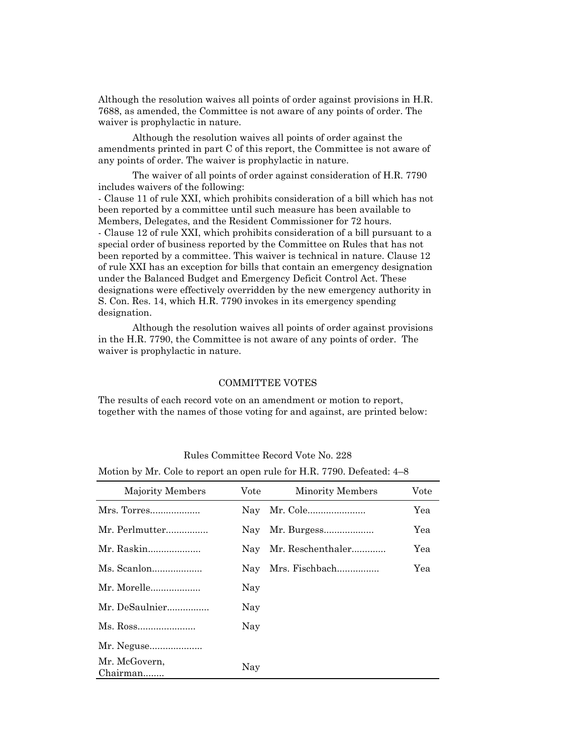Although the resolution waives all points of order against provisions in H.R. 7688, as amended, the Committee is not aware of any points of order. The waiver is prophylactic in nature.

Although the resolution waives all points of order against the amendments printed in part C of this report, the Committee is not aware of any points of order. The waiver is prophylactic in nature.

The waiver of all points of order against consideration of H.R. 7790 includes waivers of the following:

- Clause 11 of rule XXI, which prohibits consideration of a bill which has not been reported by a committee until such measure has been available to Members, Delegates, and the Resident Commissioner for 72 hours. - Clause 12 of rule XXI, which prohibits consideration of a bill pursuant to a special order of business reported by the Committee on Rules that has not been reported by a committee. This waiver is technical in nature. Clause 12 of rule XXI has an exception for bills that contain an emergency designation under the Balanced Budget and Emergency Deficit Control Act. These designations were effectively overridden by the new emergency authority in S. Con. Res. 14, which H.R. 7790 invokes in its emergency spending designation.

Although the resolution waives all points of order against provisions in the H.R. 7790, the Committee is not aware of any points of order. The waiver is prophylactic in nature.

### COMMITTEE VOTES

The results of each record vote on an amendment or motion to report, together with the names of those voting for and against, are printed below:

| <b>Majority Members</b>   | Vote | Minority Members  | Vote |
|---------------------------|------|-------------------|------|
| Mrs. Torres               | Nay  |                   | Yea  |
| Mr. Perlmutter            | Nay  |                   | Yea  |
| Mr. Raskin                | Nav  | Mr. Reschenthaler | Yea  |
|                           | Nay  | Mrs. Fischbach    | Yea  |
| Mr. Morelle               | Nay  |                   |      |
| Mr. DeSaulnier            | Nay  |                   |      |
|                           | Nay  |                   |      |
| Mr. Neguse                |      |                   |      |
| Mr. McGovern,<br>Chairman | Nay  |                   |      |

Rules Committee Record Vote No. 228

Motion by Mr. Cole to report an open rule for H.R. 7790. Defeated: 4–8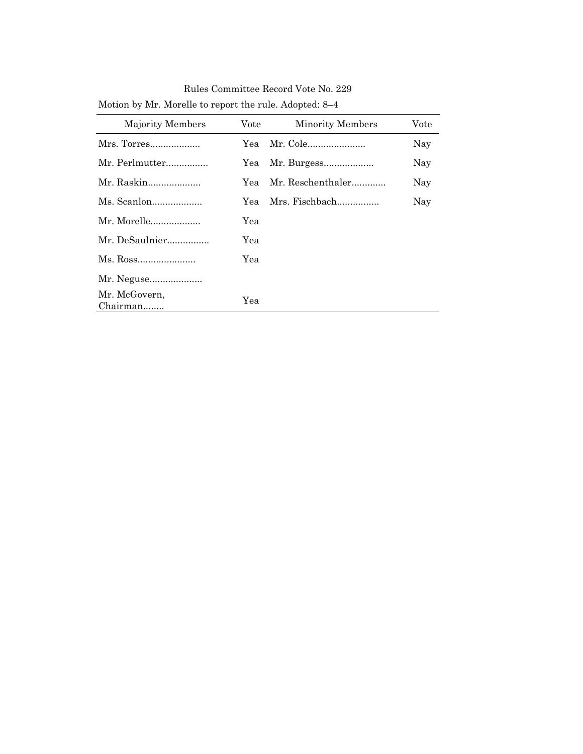| <b>Majority Members</b>   | Vote | <b>Minority Members</b> | Vote |
|---------------------------|------|-------------------------|------|
| Mrs. Torres               | Үеа  |                         | Nay  |
| Mr. Perlmutter            | Yea  | Mr. Burgess             | Nay  |
|                           | Үеа  | Mr. Reschenthaler       | Nay  |
| $Ms.$ Scanlon             | Yea  | Mrs. Fischbach          | Nay  |
| Mr. Morelle               | Yea  |                         |      |
| Mr. DeSaulnier            | Yea  |                         |      |
|                           | Yea  |                         |      |
|                           |      |                         |      |
| Mr. McGovern,<br>Chairman | Yea  |                         |      |

Rules Committee Record Vote No. 229 Motion by Mr. Morelle to report the rule. Adopted: 8–4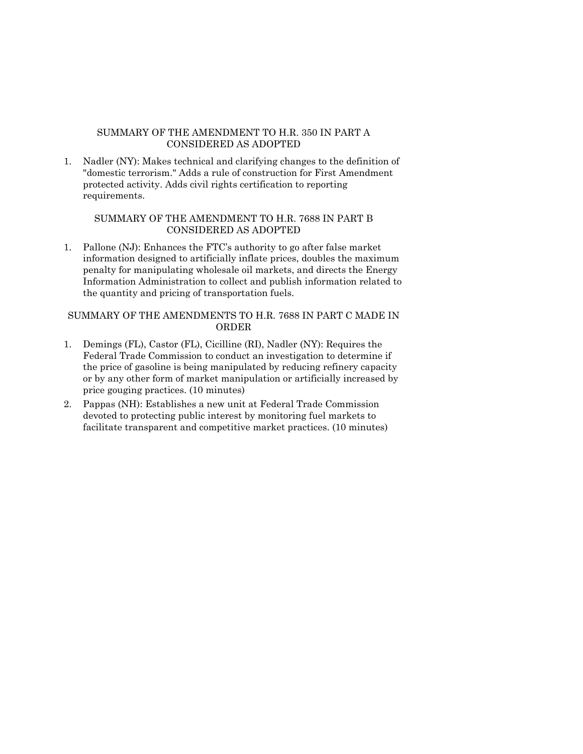# SUMMARY OF THE AMENDMENT TO H.R. 350 IN PART A CONSIDERED AS ADOPTED

1. Nadler (NY): Makes technical and clarifying changes to the definition of "domestic terrorism." Adds a rule of construction for First Amendment protected activity. Adds civil rights certification to reporting requirements.

## SUMMARY OF THE AMENDMENT TO H.R. 7688 IN PART B CONSIDERED AS ADOPTED

1. Pallone (NJ): Enhances the FTC's authority to go after false market information designed to artificially inflate prices, doubles the maximum penalty for manipulating wholesale oil markets, and directs the Energy Information Administration to collect and publish information related to the quantity and pricing of transportation fuels.

# SUMMARY OF THE AMENDMENTS TO H.R. 7688 IN PART C MADE IN ORDER

- 1. Demings (FL), Castor (FL), Cicilline (RI), Nadler (NY): Requires the Federal Trade Commission to conduct an investigation to determine if the price of gasoline is being manipulated by reducing refinery capacity or by any other form of market manipulation or artificially increased by price gouging practices. (10 minutes)
- 2. Pappas (NH): Establishes a new unit at Federal Trade Commission devoted to protecting public interest by monitoring fuel markets to facilitate transparent and competitive market practices. (10 minutes)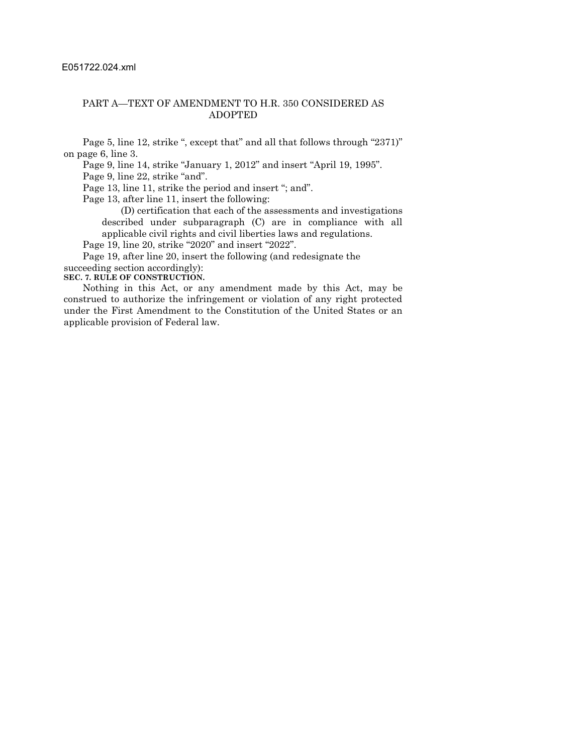## PART A—TEXT OF AMENDMENT TO H.R. 350 CONSIDERED AS ADOPTED

Page 5, line 12, strike ", except that" and all that follows through "2371)" on page 6, line 3.

Page 9, line 14, strike "January 1, 2012" and insert "April 19, 1995".

Page 9, line 22, strike "and".

Page 13, line 11, strike the period and insert "; and".

Page 13, after line 11, insert the following:

(D) certification that each of the assessments and investigations described under subparagraph (C) are in compliance with all applicable civil rights and civil liberties laws and regulations.

Page 19, line 20, strike "2020" and insert "2022".

Page 19, after line 20, insert the following (and redesignate the succeeding section accordingly):

**SEC. 7. RULE OF CONSTRUCTION.**

Nothing in this Act, or any amendment made by this Act, may be construed to authorize the infringement or violation of any right protected under the First Amendment to the Constitution of the United States or an applicable provision of Federal law.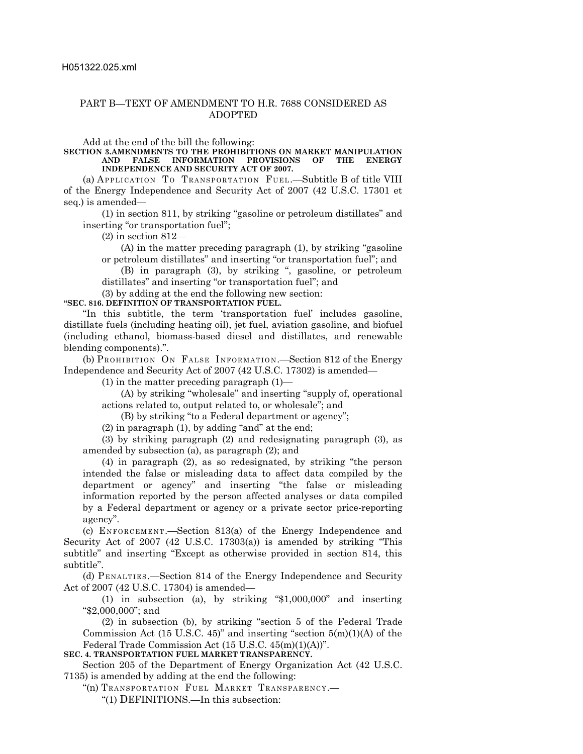## PART B—TEXT OF AMENDMENT TO H.R. 7688 CONSIDERED AS ADOPTED

Add at the end of the bill the following:

#### **SECTION 3.AMENDMENTS TO THE PROHIBITIONS ON MARKET MANIPULATION AND FALSE INFORMATION PROVISIONS OF THE ENERGY INDEPENDENCE AND SECURITY ACT OF 2007.**

(a) APPLICATION TO TRANSPORTATION FUEL.—Subtitle B of title VIII of the Energy Independence and Security Act of 2007 (42 U.S.C. 17301 et seq.) is amended—

(1) in section 811, by striking "gasoline or petroleum distillates" and inserting "or transportation fuel";

(2) in section 812—

(A) in the matter preceding paragraph (1), by striking "gasoline or petroleum distillates" and inserting "or transportation fuel"; and

(B) in paragraph (3), by striking ", gasoline, or petroleum distillates" and inserting "or transportation fuel"; and

(3) by adding at the end the following new section:

## **"SEC. 816. DEFINITION OF TRANSPORTATION FUEL.**

"In this subtitle, the term 'transportation fuel' includes gasoline, distillate fuels (including heating oil), jet fuel, aviation gasoline, and biofuel (including ethanol, biomass-based diesel and distillates, and renewable blending components).".

(b) PROHIBITION ON FALSE INFORMATION.—Section 812 of the Energy Independence and Security Act of 2007 (42 U.S.C. 17302) is amended—

(1) in the matter preceding paragraph (1)—

(A) by striking "wholesale" and inserting "supply of, operational actions related to, output related to, or wholesale"; and

(B) by striking "to a Federal department or agency";

(2) in paragraph (1), by adding "and" at the end;

(3) by striking paragraph (2) and redesignating paragraph (3), as amended by subsection (a), as paragraph (2); and

(4) in paragraph (2), as so redesignated, by striking "the person intended the false or misleading data to affect data compiled by the department or agency" and inserting "the false or misleading information reported by the person affected analyses or data compiled by a Federal department or agency or a private sector price-reporting agency".

(c)  $E_{NFORCENT.}$ -Section 813(a) of the Energy Independence and Security Act of 2007 (42 U.S.C. 17303(a)) is amended by striking "This subtitle" and inserting "Except as otherwise provided in section 814, this subtitle".

(d)  $P_{ENALTIES}$ . Section 814 of the Energy Independence and Security Act of 2007 (42 U.S.C. 17304) is amended—

(1) in subsection (a), by striking "\$1,000,000" and inserting "\$2,000,000"; and

(2) in subsection (b), by striking "section 5 of the Federal Trade Commission Act  $(15 \text{ U.S.C. } 45)$ " and inserting "section  $5(m)(1)(A)$  of the Federal Trade Commission Act (15 U.S.C. 45(m)(1)(A))".

**SEC. 4. TRANSPORTATION FUEL MARKET TRANSPARENCY.**

Section 205 of the Department of Energy Organization Act (42 U.S.C. 7135) is amended by adding at the end the following:

"(n) TRANSPORTATION FUEL MARKET TRANSPARENCY.-

"(1) DEFINITIONS.—In this subsection: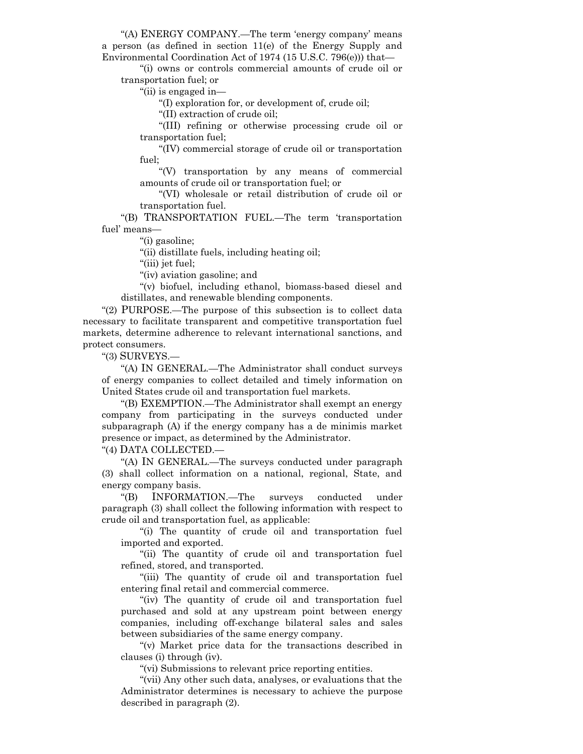"(A) ENERGY COMPANY.—The term 'energy company' means a person (as defined in section 11(e) of the Energy Supply and Environmental Coordination Act of 1974 (15 U.S.C. 796(e))) that—

"(i) owns or controls commercial amounts of crude oil or transportation fuel; or

"(ii) is engaged in—

"(I) exploration for, or development of, crude oil;

"(II) extraction of crude oil;

"(III) refining or otherwise processing crude oil or transportation fuel;

"(IV) commercial storage of crude oil or transportation fuel;

"(V) transportation by any means of commercial amounts of crude oil or transportation fuel; or

"(VI) wholesale or retail distribution of crude oil or transportation fuel.

"(B) TRANSPORTATION FUEL.—The term 'transportation fuel' means—

"(i) gasoline;

"(ii) distillate fuels, including heating oil;

"(iii) jet fuel;

"(iv) aviation gasoline; and

"(v) biofuel, including ethanol, biomass-based diesel and distillates, and renewable blending components.

"(2) PURPOSE.—The purpose of this subsection is to collect data necessary to facilitate transparent and competitive transportation fuel markets, determine adherence to relevant international sanctions, and protect consumers.

"(3) SURVEYS.—

"(A) IN GENERAL.—The Administrator shall conduct surveys of energy companies to collect detailed and timely information on United States crude oil and transportation fuel markets.

"(B) EXEMPTION.—The Administrator shall exempt an energy company from participating in the surveys conducted under subparagraph (A) if the energy company has a de minimis market presence or impact, as determined by the Administrator.

"(4) DATA COLLECTED.—

"(A) IN GENERAL.—The surveys conducted under paragraph (3) shall collect information on a national, regional, State, and energy company basis.

"(B) INFORMATION.—The surveys conducted under paragraph (3) shall collect the following information with respect to crude oil and transportation fuel, as applicable:

"(i) The quantity of crude oil and transportation fuel imported and exported.

"(ii) The quantity of crude oil and transportation fuel refined, stored, and transported.

"(iii) The quantity of crude oil and transportation fuel entering final retail and commercial commerce.

"(iv) The quantity of crude oil and transportation fuel purchased and sold at any upstream point between energy companies, including off-exchange bilateral sales and sales between subsidiaries of the same energy company.

"(v) Market price data for the transactions described in clauses (i) through (iv).

"(vi) Submissions to relevant price reporting entities.

"(vii) Any other such data, analyses, or evaluations that the Administrator determines is necessary to achieve the purpose described in paragraph (2).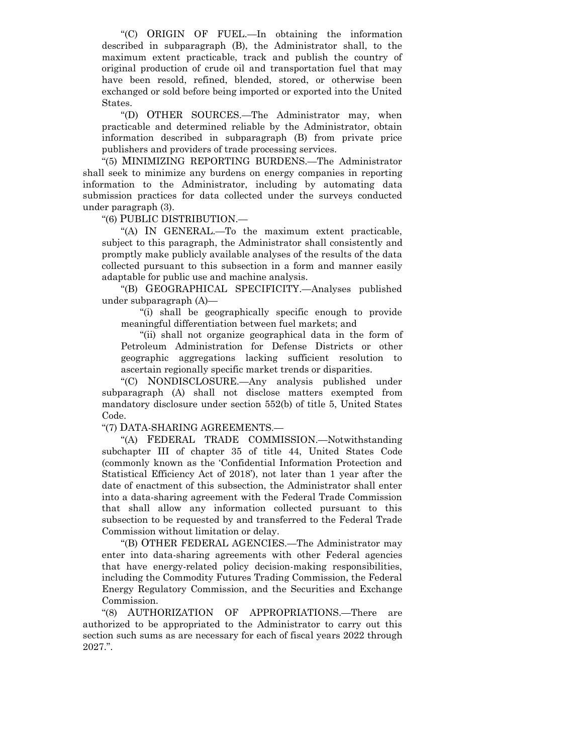"(C) ORIGIN OF FUEL.—In obtaining the information described in subparagraph (B), the Administrator shall, to the maximum extent practicable, track and publish the country of original production of crude oil and transportation fuel that may have been resold, refined, blended, stored, or otherwise been exchanged or sold before being imported or exported into the United States.

"(D) OTHER SOURCES.—The Administrator may, when practicable and determined reliable by the Administrator, obtain information described in subparagraph (B) from private price publishers and providers of trade processing services.

"(5) MINIMIZING REPORTING BURDENS.—The Administrator shall seek to minimize any burdens on energy companies in reporting information to the Administrator, including by automating data submission practices for data collected under the surveys conducted under paragraph (3).

"(6) PUBLIC DISTRIBUTION.—

"(A) IN GENERAL.—To the maximum extent practicable, subject to this paragraph, the Administrator shall consistently and promptly make publicly available analyses of the results of the data collected pursuant to this subsection in a form and manner easily adaptable for public use and machine analysis.

"(B) GEOGRAPHICAL SPECIFICITY.—Analyses published under subparagraph (A)—

"(i) shall be geographically specific enough to provide meaningful differentiation between fuel markets; and

"(ii) shall not organize geographical data in the form of Petroleum Administration for Defense Districts or other geographic aggregations lacking sufficient resolution to ascertain regionally specific market trends or disparities.

"(C) NONDISCLOSURE.—Any analysis published under subparagraph (A) shall not disclose matters exempted from mandatory disclosure under section 552(b) of title 5, United States Code.

"(7) DATA-SHARING AGREEMENTS.—

"(A) FEDERAL TRADE COMMISSION.—Notwithstanding subchapter III of chapter 35 of title 44, United States Code (commonly known as the 'Confidential Information Protection and Statistical Efficiency Act of 2018'), not later than 1 year after the date of enactment of this subsection, the Administrator shall enter into a data-sharing agreement with the Federal Trade Commission that shall allow any information collected pursuant to this subsection to be requested by and transferred to the Federal Trade Commission without limitation or delay.

"(B) OTHER FEDERAL AGENCIES.—The Administrator may enter into data-sharing agreements with other Federal agencies that have energy-related policy decision-making responsibilities, including the Commodity Futures Trading Commission, the Federal Energy Regulatory Commission, and the Securities and Exchange Commission.

"(8) AUTHORIZATION OF APPROPRIATIONS.—There are authorized to be appropriated to the Administrator to carry out this section such sums as are necessary for each of fiscal years 2022 through 2027.".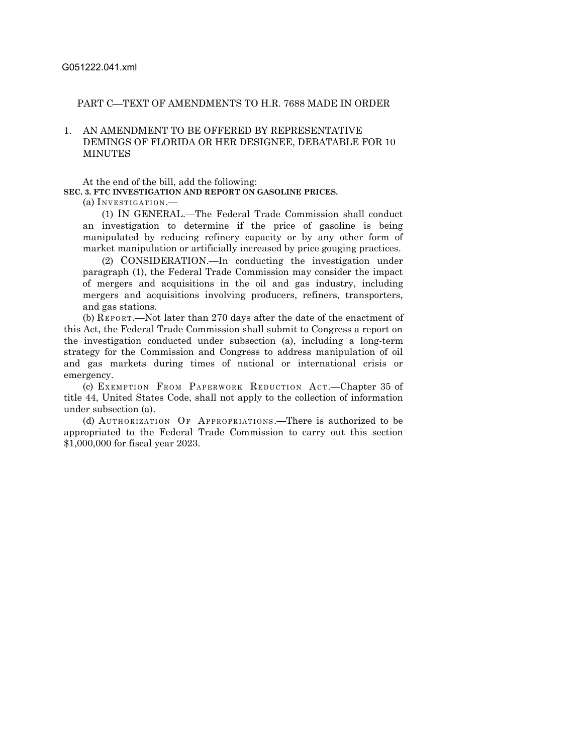### G051222.041.xml

### PART C—TEXT OF AMENDMENTS TO H.R. 7688 MADE IN ORDER

# 1. AN AMENDMENT TO BE OFFERED BY REPRESENTATIVE DEMINGS OF FLORIDA OR HER DESIGNEE, DEBATABLE FOR 10 MINUTES

# At the end of the bill, add the following: **SEC. 3. FTC INVESTIGATION AND REPORT ON GASOLINE PRICES.**

(a)  $INVESTIGATION$ .

(1) IN GENERAL.—The Federal Trade Commission shall conduct an investigation to determine if the price of gasoline is being manipulated by reducing refinery capacity or by any other form of market manipulation or artificially increased by price gouging practices.

(2) CONSIDERATION.—In conducting the investigation under paragraph (1), the Federal Trade Commission may consider the impact of mergers and acquisitions in the oil and gas industry, including mergers and acquisitions involving producers, refiners, transporters, and gas stations.

(b) REPORT.—Not later than 270 days after the date of the enactment of this Act, the Federal Trade Commission shall submit to Congress a report on the investigation conducted under subsection (a), including a long-term strategy for the Commission and Congress to address manipulation of oil and gas markets during times of national or international crisis or emergency.

(c) EXEMPTION FROM PAPERWORK REDUCTION ACT. - Chapter 35 of title 44, United States Code, shall not apply to the collection of information under subsection (a).

(d)  $A$ UTHORIZATION OF APPROPRIATIONS.—There is authorized to be appropriated to the Federal Trade Commission to carry out this section \$1,000,000 for fiscal year 2023.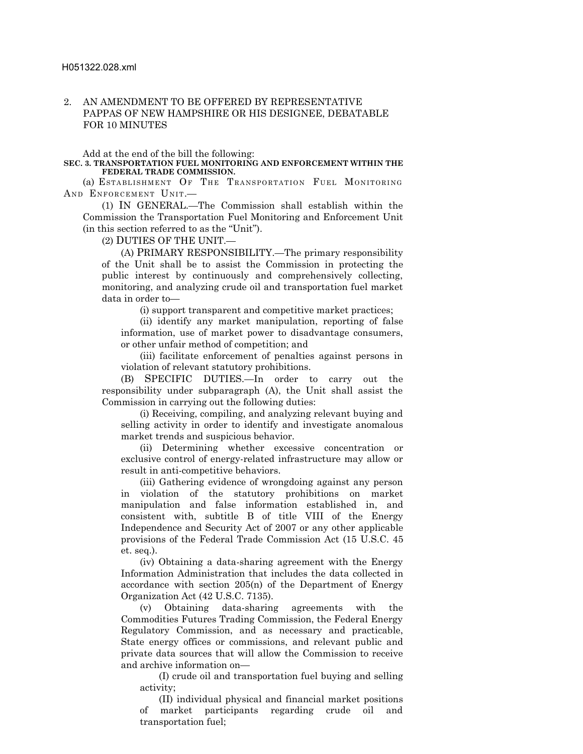## 2. AN AMENDMENT TO BE OFFERED BY REPRESENTATIVE PAPPAS OF NEW HAMPSHIRE OR HIS DESIGNEE, DEBATABLE FOR 10 MINUTES

Add at the end of the bill the following:

#### **SEC. 3. TRANSPORTATION FUEL MONITORING AND ENFORCEMENT WITHIN THE FEDERAL TRADE COMMISSION.**

(a) ESTABLISHMENT OF THE TRANSPORTATION FUEL MONITORING AND ENFORCEMENT UNIT.

(1) IN GENERAL.—The Commission shall establish within the Commission the Transportation Fuel Monitoring and Enforcement Unit (in this section referred to as the "Unit").

(2) DUTIES OF THE UNIT.—

(A) PRIMARY RESPONSIBILITY.—The primary responsibility of the Unit shall be to assist the Commission in protecting the public interest by continuously and comprehensively collecting, monitoring, and analyzing crude oil and transportation fuel market data in order to—

(i) support transparent and competitive market practices;

(ii) identify any market manipulation, reporting of false information, use of market power to disadvantage consumers, or other unfair method of competition; and

(iii) facilitate enforcement of penalties against persons in violation of relevant statutory prohibitions.

(B) SPECIFIC DUTIES.—In order to carry out the responsibility under subparagraph (A), the Unit shall assist the Commission in carrying out the following duties:

(i) Receiving, compiling, and analyzing relevant buying and selling activity in order to identify and investigate anomalous market trends and suspicious behavior.

(ii) Determining whether excessive concentration or exclusive control of energy-related infrastructure may allow or result in anti-competitive behaviors.

(iii) Gathering evidence of wrongdoing against any person in violation of the statutory prohibitions on market manipulation and false information established in, and consistent with, subtitle B of title VIII of the Energy Independence and Security Act of 2007 or any other applicable provisions of the Federal Trade Commission Act (15 U.S.C. 45 et. seq.).

(iv) Obtaining a data-sharing agreement with the Energy Information Administration that includes the data collected in accordance with section 205(n) of the Department of Energy Organization Act (42 U.S.C. 7135).

(v) Obtaining data-sharing agreements with the Commodities Futures Trading Commission, the Federal Energy Regulatory Commission, and as necessary and practicable, State energy offices or commissions, and relevant public and private data sources that will allow the Commission to receive and archive information on—

(I) crude oil and transportation fuel buying and selling activity;

(II) individual physical and financial market positions of market participants regarding crude oil and transportation fuel;